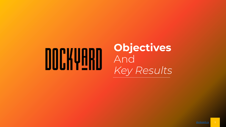# DOCKVARD

## **Objectives** And *Key Results*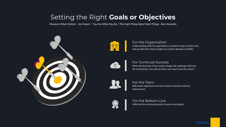## Setting the Right **Goals or Objectives**

Measure What Matters - Jon Dooer / You Are What You Do / The Hard Thing About Hard Things - Ben Horowitz





Understanding what the organization is actually trying to achieve and why provides the critical insights you need to develop real OKRs. For the Organization



#### For Continual Success

When the demands of the market change, the challenges shift and the world pivots, how will you find a new way to stay the course?



#### OKRs foster alignment and team cohesion towards continual improvement For the Team



OKRs fuel the continual pursuit of success and growth. For the Bottom Line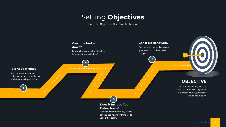## Setting **Objectives**

How to Set Objectives That Can't Be Achieved

**3**

**Entire Team?**

your entire team?

**Does it Include Your** 

When you identify the key results, can you see how they translate to

#### **Can it be broken down?**

**2**

Can you break down the objective into measurable activities?

#### **Can It Be Renewed?**

Can the objective evolve as you grow, contract or the market changes.

**4**

#### **OBJECTIVE**

Focus on developing 3 or 4 of these corporate level Objectives that match your organization's vision and mission.

#### **Is It Aspirational?**

**1**

At a corporate level your objectives should be subjective goals that match your vision.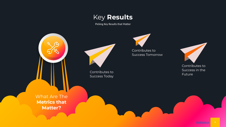## Key **Results**

Picking Key Results that Matter





Contributes to Success Tomorrow



Contributes to Success in the Future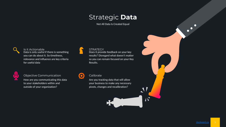## Strategic **Data**

Not All Data Is Created Equal



#### Data is only useful if there is something you can do about it. So timeliness, relevance and influence are key criteria for useful data Is it Actionable



Objective Communication

How are you communicating this data to your stakeholders within and outside of your organization?

#### **STRATEGY**

Does it provide feedback on your key results? Disregard what doesn't matter so you can remain focused on your Key Results.



#### Calibrate

Are you tracking data that will allow your business to make any necessary pivots, changes and recalibration?

 $\sqrt{ }$ 

 $\bullet$  $\bullet$  $\Box$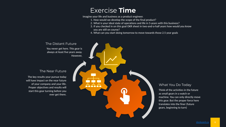## Exercise **Time**

Imagine your life and business as a product engineer.

- 1. How would we develop the scope of the final product?
- 2. What is your ideal state of operations and life in 5-years with this business?
- 3. If you checked in on this goal OKR sheet in two-and-a-half years how would you know you are still on course?
- 4. What can you start doing tomorrow to move towards those 2.5 year goals

The Distant Future You never get here. This gear is always at least five years away. However, The Near Future The key results your pursue today will have impact on the near future of your company and your life. Proper objectives and results will start this gear turning before you ever get there.

#### What You Do Today

Think of the activities in the future as small gears in a watch or machine. You can only directly move this gear. But the proper force here translates into the finer (future gears, beginning to turn)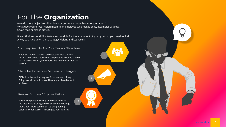## For The **Organization**

How do these Objectives filter down or permeate through your organization? What does your 5-year vision mean to an employee who makes beds, assembles widgets, Cooks food or cleans dishes?

It isn't their responsibility to feel responsible for the attainment of your goals, so you need to find A way to trickle down these strategic visions and key results

3

2

#### Your Key Results Are Your Team's Objectives

If you set market share as an objective then the key results: new clients, territory, comparative revenue should be the objectives of your reports with Key Results for the pursuit

#### Share Performance / Set Realistic Targets

OKRs, like the sector they are from work on binary. Things are either a 1 or a 0. They are achieved or not achieved.

Reward Success / Explore Failure

Part of the point of setting ambitious goals in the first place is being able to celebrate reaching them. But failure can be just as enlightening. Celebrate your success, investigate your failures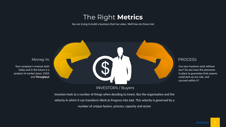## The Right **Metrics**

You are trying to build a business that has value. Well how do those met



#### INVESTORS / Buyers

Money In

Your company's revenue both today and in the future is a product of market share, COGS and **Throughput**

Investors look at a number of things when deciding to invest. But the organization and the

velocity in which it can transform *Work.In.Progress* into \$\$\$. This velocity is governed by a

number of unique factors, process, capacity and sector

#### **PROCESS**

Can your business exist without you? Do you have the processes in place to guarantee that anyone could pick up any role, and succeed within it?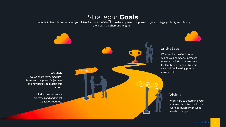### Strategic **Goals**

I hope that after this presentation you all feel far more confident in the development and pursuit of your strategic goals. By establishing them both the short and long-term



#### End-State

Whether it's passive income, selling your company, increased revenue, or just more free time for family and friends. Strategic OKR and Goal Setting plays a massive role.

#### Vision

**Strategy** 

Work hard to determine your vision of the future and then work backwards with what needs to happen.

Tactics Strategy Develop short-term, mediumterm, and long-term Objectives and Key Results to pursue this vision.

> Including any necessary processes and additional capacities required.